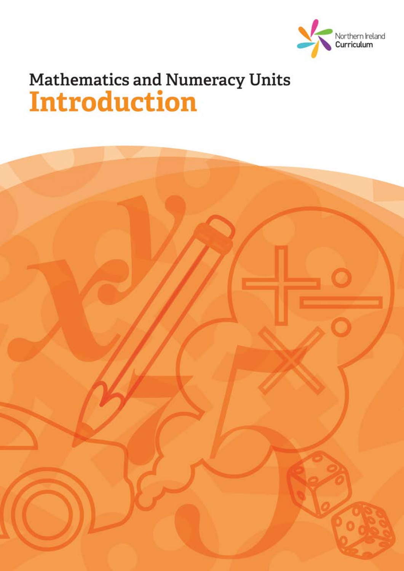

# Mathematics and Numeracy Units<br>Introduction

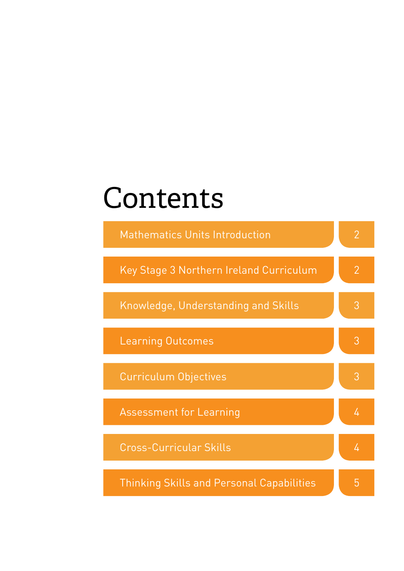# Contents

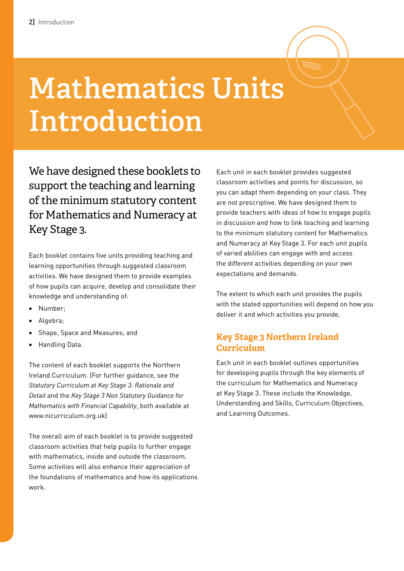# **Mathematics Units Introduction**

We have designed these booklets to support the teaching and learning of the minimum statutory content for Mathematics and Numeracy at Key Stage 3.

Each booklet contains five units providing teaching and learning opportunities through suggested classroom activities. We have designed them to provide examples of how pupils can acquire, develop and consolidate their knowledge and understanding of:

- Number:
- Algebra;
- • Shape, Space and Measures; and
- • Handling Data.

The content of each booklet supports the Northern Ireland Curriculum. (For further guidance, see the *Statutory Curriculum at Key Stage 3: Rationale and Detail* and the *Key Stage 3 Non Statutory Guidance for Mathematics with Financial Capability*, both available at www.nicurriculum.org.uk)

The overall aim of each booklet is to provide suggested classroom activities that help pupils to further engage with mathematics, inside and outside the classroom. Some activities will also enhance their appreciation of the foundations of mathematics and how its applications work.

Each unit in each booklet provides suggested classroom activities and points for discussion, so you can adapt them depending on your class. They are not prescriptive. We have designed them to provide teachers with ideas of how to engage pupils in discussion and how to link teaching and learning to the minimum statutory content for Mathematics and Numeracy at Key Stage 3. For each unit pupils of varied abilities can engage with and access the different activities depending on your own expectations and demands.

The extent to which each unit provides the pupils with the stated opportunities will depend on how you deliver it and which activities you provide.

#### **Key Stage 3 Northern Ireland Curriculum**

Each unit in each booklet outlines opportunities for developing pupils through the key elements of the curriculum for Mathematics and Numeracy at Key Stage 3. These include the Knowledge, Understanding and Skills, Curriculum Objectives, and Learning Outcomes.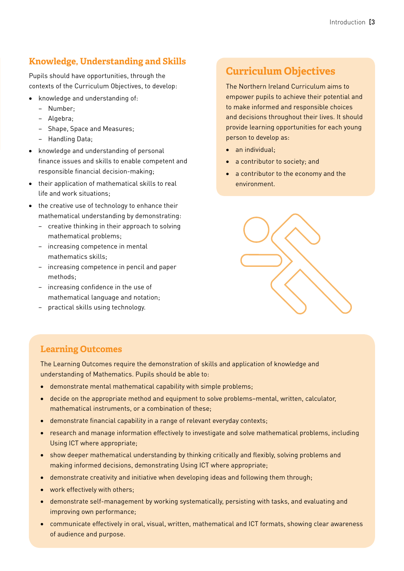# **Knowledge, Understanding and Skills**

Pupils should have opportunities, through the contexts of the Curriculum Objectives, to develop:

- knowledge and understanding of:
	- − Number;
	- − Algebra;
	- − Shape, Space and Measures;
	- − Handling Data;
- • knowledge and understanding of personal finance issues and skills to enable competent and responsible financial decision-making;
- • their application of mathematical skills to real life and work situations;
- the creative use of technology to enhance their mathematical understanding by demonstrating:
	- − creative thinking in their approach to solving mathematical problems;
	- − increasing competence in mental mathematics skills;
	- − increasing competence in pencil and paper methods;
	- − increasing confidence in the use of mathematical language and notation;
	- − practical skills using technology.

# **Curriculum Objectives**

The Northern Ireland Curriculum aims to empower pupils to achieve their potential and to make informed and responsible choices and decisions throughout their lives. It should provide learning opportunities for each young person to develop as:

- an individual;
- a contributor to society; and
- • a contributor to the economy and the environment.



## **Learning Outcomes**

The Learning Outcomes require the demonstration of skills and application of knowledge and understanding of Mathematics. Pupils should be able to:

- demonstrate mental mathematical capability with simple problems;
- decide on the appropriate method and equipment to solve problems-mental, written, calculator, mathematical instruments, or a combination of these;
- demonstrate financial capability in a range of relevant everyday contexts;
- research and manage information effectively to investigate and solve mathematical problems, including Using ICT where appropriate;
- show deeper mathematical understanding by thinking critically and flexibly, solving problems and making informed decisions, demonstrating Using ICT where appropriate;
- demonstrate creativity and initiative when developing ideas and following them through;
- work effectively with others:
- • demonstrate self-management by working systematically, persisting with tasks, and evaluating and improving own performance;
- • communicate effectively in oral, visual, written, mathematical and ICT formats, showing clear awareness of audience and purpose.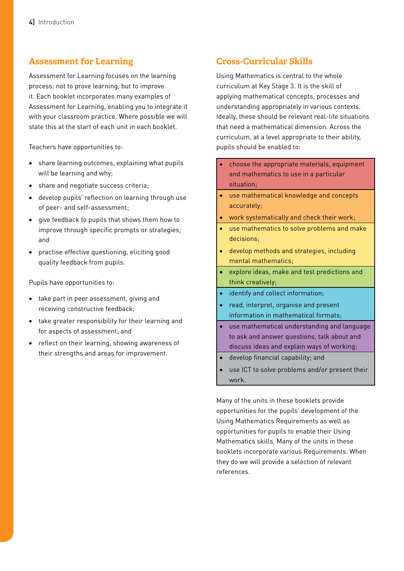### **Assessment for Learning**

Assessment for Learning focuses on the learning process: not to prove learning, but to improve it. Each booklet incorporates many examples of Assessment for Learning, enabling you to integrate it with your classroom practice. Where possible we will state this at the start of each unit in each booklet.

Teachers have opportunities to:

- share learning outcomes, explaining what pupils will be learning and why;
- share and negotiate success criteria:
- • develop pupils' reflection on learning through use of peer- and self-assessment;
- • give feedback to pupils that shows them how to improve through specific prompts or strategies; and
- • practise effective questioning, eliciting good quality feedback from pupils.

Pupils have opportunities to:

- • take part in peer assessment, giving and receiving constructive feedback;
- • take greater responsibility for their learning and for aspects of assessment; and
- • reflect on their learning, showing awareness of their strengths and areas for improvement.

# **Cross-Curricular Skills**

Using Mathematics is central to the whole curriculum at Key Stage 3. It is the skill of applying mathematical concepts, processes and understanding appropriately in various contexts. Ideally, these should be relevant real-life situations that need a mathematical dimension. Across the curriculum, at a level appropriate to their ability, pupils should be enabled to:

- choose the appropriate materials, equipment and mathematics to use in a particular situation;
- • use mathematical knowledge and concepts accurately;
- • work systematically and check their work;
- • use mathematics to solve problems and make decisions;
- • develop methods and strategies, including mental mathematics;
- explore ideas, make and test predictions and think creatively;
- identify and collect information;
- read, interpret, organise and present information in mathematical formats;
- • use mathematical understanding and language to ask and answer questions, talk about and discuss ideas and explain ways of working;
- • develop financial capability; and
- use ICT to solve problems and/or present their work.

Many of the units in these booklets provide opportunities for the pupils' development of the Using Mathematics Requirements as well as opportunities for pupils to enable their Using Mathematics skills. Many of the units in these booklets incorporate various Requirements. When they do we will provide a selection of relevant references.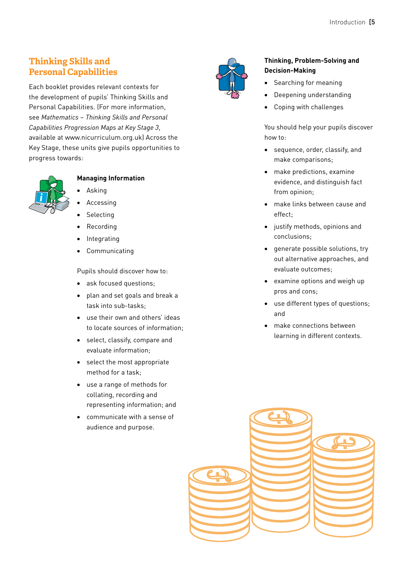# **Thinking Skills and Personal Capabilities**

Each booklet provides relevant contexts for the development of pupils' Thinking Skills and Personal Capabilities. (For more information, see *Mathematics* – *Thinking Skills and Personal Capabilities Progression Maps at Key Stage 3*, available at www.nicurriculum.org.uk) Across the Key Stage, these units give pupils opportunities to progress towards:



#### **Managing Information**

- **Asking**
- **Accessing**
- **Selecting**
- **Recording**
- **Integrating**
- **Communicating**

Pupils should discover how to:

- ask focused questions;
- • plan and set goals and break a task into sub-tasks;
- • use their own and others' ideas to locate sources of information;
- • select, classify, compare and evaluate information;
- • select the most appropriate method for a task;
- • use a range of methods for collating, recording and representing information; and
- • communicate with a sense of audience and purpose.



#### **Thinking, Problem-Solving and Decision-Making**

- Searching for meaning
- Deepening understanding
- Coping with challenges

You should help your pupils discover how to:

- • sequence, order, classify, and make comparisons;
- • make predictions, examine evidence, and distinguish fact from opinion;
- • make links between cause and effect;
- • justify methods, opinions and conclusions;
- • generate possible solutions, try out alternative approaches, and evaluate outcomes;
- • examine options and weigh up pros and cons;
- • use different types of questions; and
- make connections between learning in different contexts.

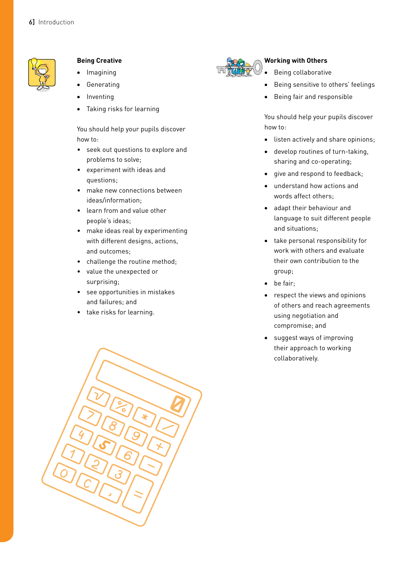

#### **Being Creative**

- **Imagining**
- Generating
- **Inventing**
- Taking risks for learning

You should help your pupils discover how to:

- seek out questions to explore and problems to solve;
- experiment with ideas and questions;
- make new connections between ideas/information;
- learn from and value other people's ideas;
- make ideas real by experimenting with different designs, actions, and outcomes;
- challenge the routine method;
- value the unexpected or surprising;
- see opportunities in mistakes and failures; and
- take risks for learning.





#### **Working with Others**

- Being collaborative
- Being sensitive to others' feelings
- Being fair and responsible

You should help your pupils discover how to:

- • listen actively and share opinions;
- • develop routines of turn-taking, sharing and co-operating;
- • give and respond to feedback;
- • understand how actions and words affect others;
- • adapt their behaviour and language to suit different people and situations;
- • take personal responsibility for work with others and evaluate their own contribution to the group;
- be fair;
- respect the views and opinions of others and reach agreements using negotiation and compromise; and
- • suggest ways of improving their approach to working collaboratively.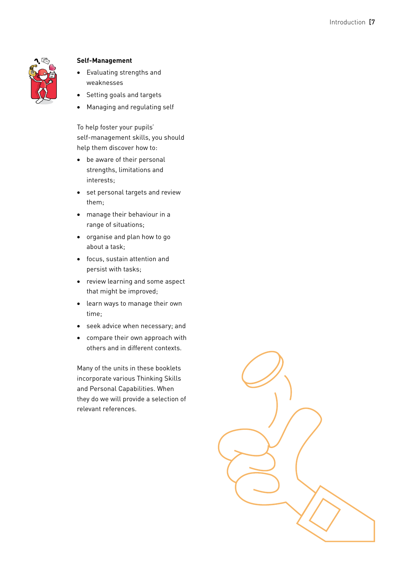

#### **Self-Management**

- • Evaluating strengths and weaknesses
- Setting goals and targets
- Managing and regulating self

To help foster your pupils' self-management skills, you should help them discover how to:

- • be aware of their personal strengths, limitations and interests;
- • set personal targets and review them;
- • manage their behaviour in a range of situations;
- • organise and plan how to go about a task;
- • focus, sustain attention and persist with tasks;
- • review learning and some aspect that might be improved;
- • learn ways to manage their own time;
- • seek advice when necessary; and
- • compare their own approach with others and in different contexts.

Many of the units in these booklets incorporate various Thinking Skills and Personal Capabilities. When they do we will provide a selection of relevant references.